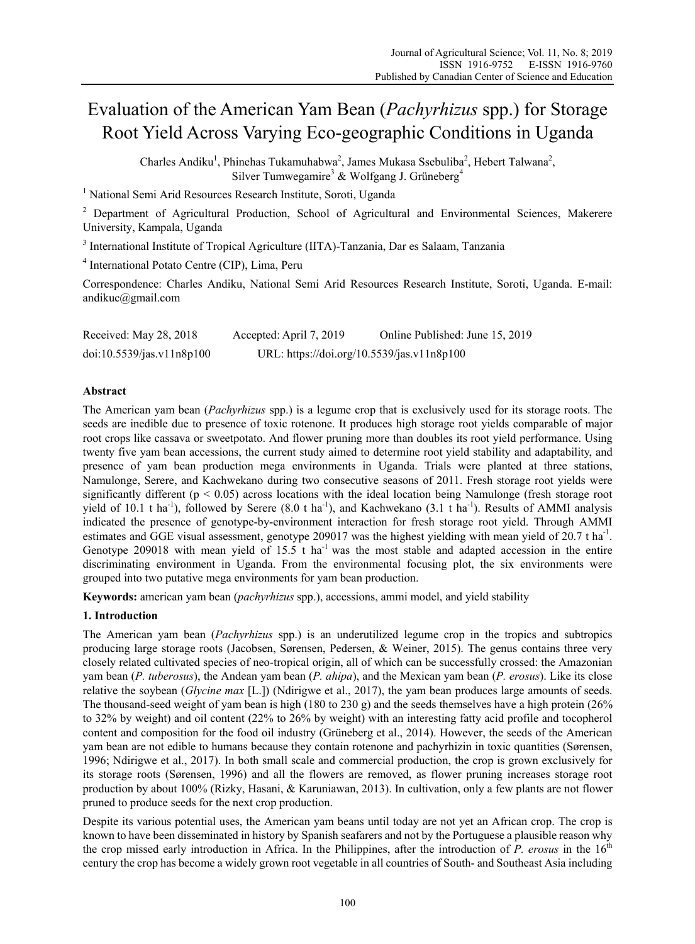# Evaluation of the American Yam Bean (*Pachyrhizus* spp.) for Storage Root Yield Across Varying Eco-geographic Conditions in Uganda

Charles Andiku<sup>1</sup>, Phinehas Tukamuhabwa<sup>2</sup>, James Mukasa Ssebuliba<sup>2</sup>, Hebert Talwana<sup>2</sup>, Silver Tumwegamire<sup>3</sup> & Wolfgang J. Grüneberg<sup>4</sup>

<sup>1</sup> National Semi Arid Resources Research Institute, Soroti, Uganda

<sup>2</sup> Department of Agricultural Production, School of Agricultural and Environmental Sciences, Makerere University, Kampala, Uganda

<sup>3</sup> International Institute of Tropical Agriculture (IITA)-Tanzania, Dar es Salaam, Tanzania

4 International Potato Centre (CIP), Lima, Peru

Correspondence: Charles Andiku, National Semi Arid Resources Research Institute, Soroti, Uganda. E-mail: andikuc@gmail.com

| Received: May 28, 2018    | Accepted: April 7, 2019                    | Online Published: June 15, 2019 |
|---------------------------|--------------------------------------------|---------------------------------|
| doi:10.5539/jas.v11n8p100 | URL: https://doi.org/10.5539/jas.v11n8p100 |                                 |

# **Abstract**

The American yam bean (*Pachyrhizus* spp.) is a legume crop that is exclusively used for its storage roots. The seeds are inedible due to presence of toxic rotenone. It produces high storage root yields comparable of major root crops like cassava or sweetpotato. And flower pruning more than doubles its root yield performance. Using twenty five yam bean accessions, the current study aimed to determine root yield stability and adaptability, and presence of yam bean production mega environments in Uganda. Trials were planted at three stations, Namulonge, Serere, and Kachwekano during two consecutive seasons of 2011. Fresh storage root yields were significantly different ( $p < 0.05$ ) across locations with the ideal location being Namulonge (fresh storage root yield of 10.1 t ha<sup>-1</sup>), followed by Serere (8.0 t ha<sup>-1</sup>), and Kachwekano (3.1 t ha<sup>-1</sup>). Results of AMMI analysis indicated the presence of genotype-by-environment interaction for fresh storage root yield. Through AMMI estimates and GGE visual assessment, genotype 209017 was the highest yielding with mean yield of 20.7 t ha<sup>-1</sup>. Genotype 209018 with mean yield of 15.5 t ha<sup>-1</sup> was the most stable and adapted accession in the entire discriminating environment in Uganda. From the environmental focusing plot, the six environments were grouped into two putative mega environments for yam bean production.

**Keywords:** american yam bean (*pachyrhizus* spp.), accessions, ammi model, and yield stability

# **1. Introduction**

The American yam bean (*Pachyrhizus* spp.) is an underutilized legume crop in the tropics and subtropics producing large storage roots (Jacobsen, Sørensen, Pedersen, & Weiner, 2015). The genus contains three very closely related cultivated species of neo-tropical origin, all of which can be successfully crossed: the Amazonian yam bean (*P. tuberosus*), the Andean yam bean (*P. ahipa*), and the Mexican yam bean (*P. erosus*). Like its close relative the soybean (*Glycine max* [L.]) (Ndirigwe et al., 2017), the yam bean produces large amounts of seeds. The thousand-seed weight of yam bean is high (180 to 230 g) and the seeds themselves have a high protein (26% to 32% by weight) and oil content (22% to 26% by weight) with an interesting fatty acid profile and tocopherol content and composition for the food oil industry (Grüneberg et al., 2014). However, the seeds of the American yam bean are not edible to humans because they contain rotenone and pachyrhizin in toxic quantities (Sørensen, 1996; Ndirigwe et al., 2017). In both small scale and commercial production, the crop is grown exclusively for its storage roots (Sørensen, 1996) and all the flowers are removed, as flower pruning increases storage root production by about 100% (Rizky, Hasani, & Karuniawan, 2013). In cultivation, only a few plants are not flower pruned to produce seeds for the next crop production.

Despite its various potential uses, the American yam beans until today are not yet an African crop. The crop is known to have been disseminated in history by Spanish seafarers and not by the Portuguese a plausible reason why the crop missed early introduction in Africa. In the Philippines, after the introduction of  $P$ . erosus in the  $16<sup>th</sup>$ century the crop has become a widely grown root vegetable in all countries of South- and Southeast Asia including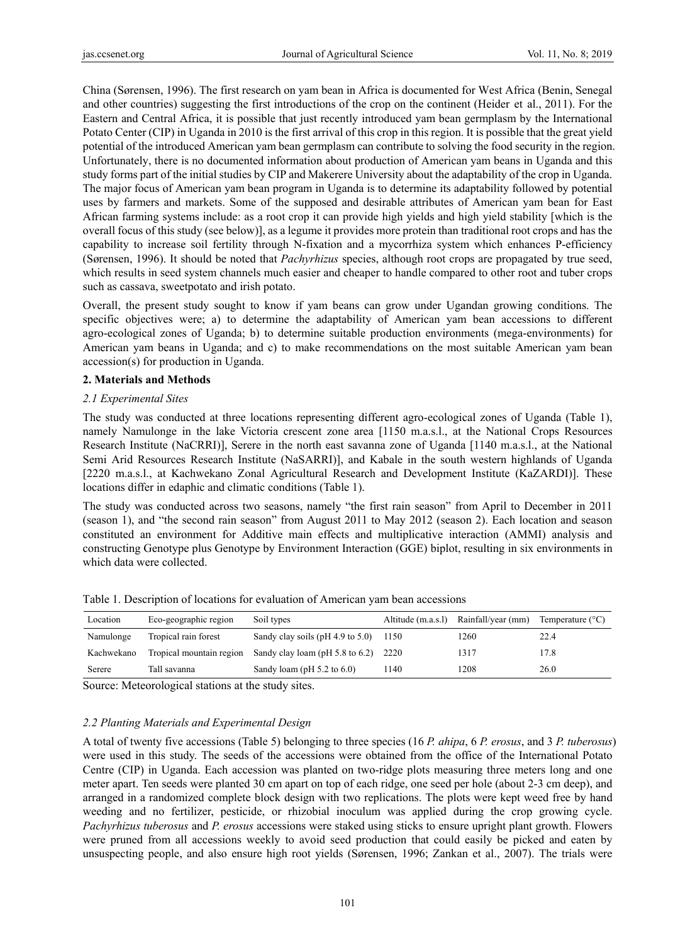China (Sørensen, 1996). The first research on yam bean in Africa is documented for West Africa (Benin, Senegal and other countries) suggesting the first introductions of the crop on the continent (Heider et al., 2011). For the Eastern and Central Africa, it is possible that just recently introduced yam bean germplasm by the International Potato Center (CIP) in Uganda in 2010 is the first arrival of this crop in this region. It is possible that the great yield potential of the introduced American yam bean germplasm can contribute to solving the food security in the region. Unfortunately, there is no documented information about production of American yam beans in Uganda and this study forms part of the initial studies by CIP and Makerere University about the adaptability of the crop in Uganda. The major focus of American yam bean program in Uganda is to determine its adaptability followed by potential uses by farmers and markets. Some of the supposed and desirable attributes of American yam bean for East African farming systems include: as a root crop it can provide high yields and high yield stability [which is the overall focus of this study (see below)], as a legume it provides more protein than traditional root crops and has the capability to increase soil fertility through N-fixation and a mycorrhiza system which enhances P-efficiency (Sørensen, 1996). It should be noted that *Pachyrhizus* species, although root crops are propagated by true seed, which results in seed system channels much easier and cheaper to handle compared to other root and tuber crops such as cassava, sweetpotato and irish potato.

Overall, the present study sought to know if yam beans can grow under Ugandan growing conditions. The specific objectives were; a) to determine the adaptability of American yam bean accessions to different agro-ecological zones of Uganda; b) to determine suitable production environments (mega-environments) for American yam beans in Uganda; and c) to make recommendations on the most suitable American yam bean accession(s) for production in Uganda.

# **2. Materials and Methods**

# *2.1 Experimental Sites*

The study was conducted at three locations representing different agro-ecological zones of Uganda (Table 1), namely Namulonge in the lake Victoria crescent zone area [1150 m.a.s.l., at the National Crops Resources Research Institute (NaCRRI)], Serere in the north east savanna zone of Uganda [1140 m.a.s.l., at the National Semi Arid Resources Research Institute (NaSARRI)], and Kabale in the south western highlands of Uganda [2220 m.a.s.l., at Kachwekano Zonal Agricultural Research and Development Institute (KaZARDI)]. These locations differ in edaphic and climatic conditions (Table 1).

The study was conducted across two seasons, namely "the first rain season" from April to December in 2011 (season 1), and "the second rain season" from August 2011 to May 2012 (season 2). Each location and season constituted an environment for Additive main effects and multiplicative interaction (AMMI) analysis and constructing Genotype plus Genotype by Environment Interaction (GGE) biplot, resulting in six environments in which data were collected.

| Location   | Eco-geographic region    | Soil types                         | Altitude (m.a.s.l) | Rainfall/year (mm) | Temperature $(^{\circ}C)$ |
|------------|--------------------------|------------------------------------|--------------------|--------------------|---------------------------|
| Namulonge  | Tropical rain forest     | Sandy clay soils $(pH 4.9$ to 5.0) | 1150               | 1260               | 22.4                      |
| Kachwekano | Tropical mountain region | Sandy clay loam ( $pH$ 5.8 to 6.2) | 2220               | 1317               | 17.8                      |
| Serere     | Tall savanna             | Sandy loam ( $pH$ 5.2 to 6.0)      | 1140               | 1208               | 26.0                      |

Table 1. Description of locations for evaluation of American yam bean accessions

Source: Meteorological stations at the study sites.

# *2.2 Planting Materials and Experimental Design*

A total of twenty five accessions (Table 5) belonging to three species (16 *P. ahipa*, 6 *P. erosus*, and 3 *P. tuberosus*) were used in this study. The seeds of the accessions were obtained from the office of the International Potato Centre (CIP) in Uganda. Each accession was planted on two-ridge plots measuring three meters long and one meter apart. Ten seeds were planted 30 cm apart on top of each ridge, one seed per hole (about 2-3 cm deep), and arranged in a randomized complete block design with two replications. The plots were kept weed free by hand weeding and no fertilizer, pesticide, or rhizobial inoculum was applied during the crop growing cycle. *Pachyrhizus tuberosus* and *P. erosus* accessions were staked using sticks to ensure upright plant growth. Flowers were pruned from all accessions weekly to avoid seed production that could easily be picked and eaten by unsuspecting people, and also ensure high root yields (Sørensen, 1996; Zankan et al., 2007). The trials were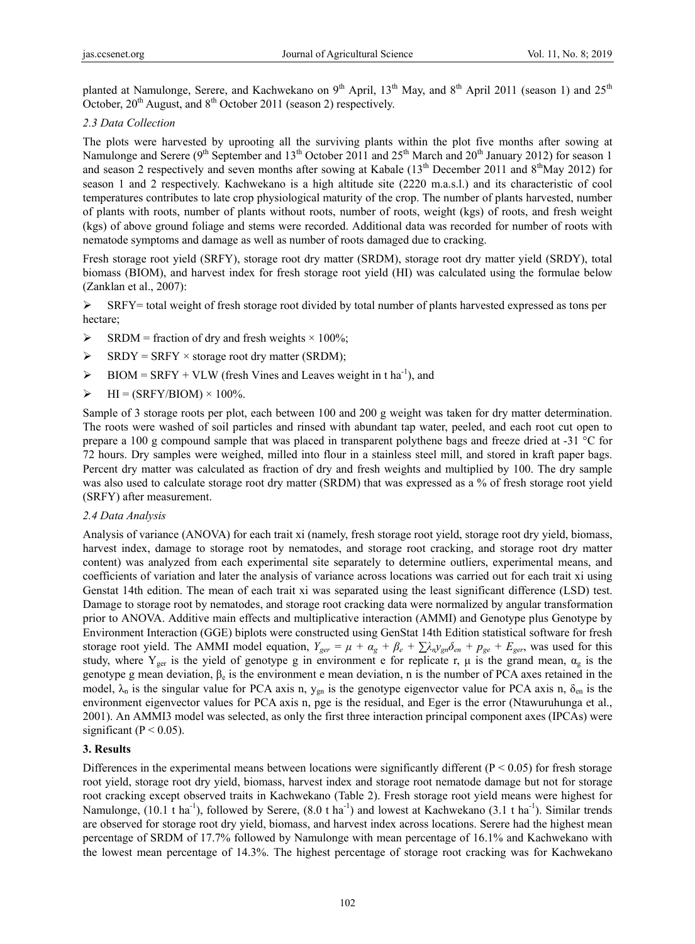planted at Namulonge, Serere, and Kachwekano on  $9<sup>th</sup>$  April,  $13<sup>th</sup>$  May, and  $8<sup>th</sup>$  April 2011 (season 1) and  $25<sup>th</sup>$ October,  $20<sup>th</sup>$  August, and  $8<sup>th</sup>$  October 2011 (season 2) respectively.

## *2.3 Data Collection*

The plots were harvested by uprooting all the surviving plants within the plot five months after sowing at Namulonge and Serere (9<sup>th</sup> September and 13<sup>th</sup> October 2011 and 25<sup>th</sup> March and 20<sup>th</sup> January 2012) for season 1 and season 2 respectively and seven months after sowing at Kabale (13<sup>th</sup> December 2011 and 8<sup>th</sup>May 2012) for season 1 and 2 respectively. Kachwekano is a high altitude site (2220 m.a.s.l.) and its characteristic of cool temperatures contributes to late crop physiological maturity of the crop. The number of plants harvested, number of plants with roots, number of plants without roots, number of roots, weight (kgs) of roots, and fresh weight (kgs) of above ground foliage and stems were recorded. Additional data was recorded for number of roots with nematode symptoms and damage as well as number of roots damaged due to cracking.

Fresh storage root yield (SRFY), storage root dry matter (SRDM), storage root dry matter yield (SRDY), total biomass (BIOM), and harvest index for fresh storage root yield (HI) was calculated using the formulae below (Zanklan et al., 2007):

 $\triangleright$  SRFY= total weight of fresh storage root divided by total number of plants harvested expressed as tons per hectare;

- $\triangleright$  SRDM = fraction of dry and fresh weights  $\times$  100%;
- $\triangleright$  SRDY = SRFY  $\times$  storage root dry matter (SRDM);
- $\triangleright$  BIOM = SRFY + VLW (fresh Vines and Leaves weight in t ha<sup>-1</sup>), and
- $\triangleright$  HI = (SRFY/BIOM) × 100%.

Sample of 3 storage roots per plot, each between 100 and 200 g weight was taken for dry matter determination. The roots were washed of soil particles and rinsed with abundant tap water, peeled, and each root cut open to prepare a 100 g compound sample that was placed in transparent polythene bags and freeze dried at -31 °C for 72 hours. Dry samples were weighed, milled into flour in a stainless steel mill, and stored in kraft paper bags. Percent dry matter was calculated as fraction of dry and fresh weights and multiplied by 100. The dry sample was also used to calculate storage root dry matter (SRDM) that was expressed as a % of fresh storage root yield (SRFY) after measurement.

#### *2.4 Data Analysis*

Analysis of variance (ANOVA) for each trait xi (namely, fresh storage root yield, storage root dry yield, biomass, harvest index, damage to storage root by nematodes, and storage root cracking, and storage root dry matter content) was analyzed from each experimental site separately to determine outliers, experimental means, and coefficients of variation and later the analysis of variance across locations was carried out for each trait xi using Genstat 14th edition. The mean of each trait xi was separated using the least significant difference (LSD) test. Damage to storage root by nematodes, and storage root cracking data were normalized by angular transformation prior to ANOVA. Additive main effects and multiplicative interaction (AMMI) and Genotype plus Genotype by Environment Interaction (GGE) biplots were constructed using GenStat 14th Edition statistical software for fresh storage root yield. The AMMI model equation,  $Y_{ger} = \mu + \alpha_g + \beta_e + \sum \lambda_n y_{gn} \delta_{en} + p_{ge} + E_{ger}$ , was used for this study, where  $Y_{\text{ger}}$  is the yield of genotype g in environment e for replicate r,  $\mu$  is the grand mean,  $\alpha_{\text{g}}$  is the genotype g mean deviation,  $\beta_e$  is the environment e mean deviation, n is the number of PCA axes retained in the model,  $\lambda_n$  is the singular value for PCA axis n,  $y_{gn}$  is the genotype eigenvector value for PCA axis n,  $\delta_{en}$  is the environment eigenvector values for PCA axis n, pge is the residual, and Eger is the error (Ntawuruhunga et al., 2001). An AMMI3 model was selected, as only the first three interaction principal component axes (IPCAs) were significant ( $P < 0.05$ ).

# **3. Results**

Differences in the experimental means between locations were significantly different ( $P < 0.05$ ) for fresh storage root yield, storage root dry yield, biomass, harvest index and storage root nematode damage but not for storage root cracking except observed traits in Kachwekano (Table 2). Fresh storage root yield means were highest for Namulonge,  $(10.1 \text{ t} \text{ ha}^{-1})$ , followed by Serere,  $(8.0 \text{ t} \text{ ha}^{-1})$  and lowest at Kachwekano  $(3.1 \text{ t} \text{ ha}^{-1})$ . Similar trends are observed for storage root dry yield, biomass, and harvest index across locations. Serere had the highest mean percentage of SRDM of 17.7% followed by Namulonge with mean percentage of 16.1% and Kachwekano with the lowest mean percentage of 14.3%. The highest percentage of storage root cracking was for Kachwekano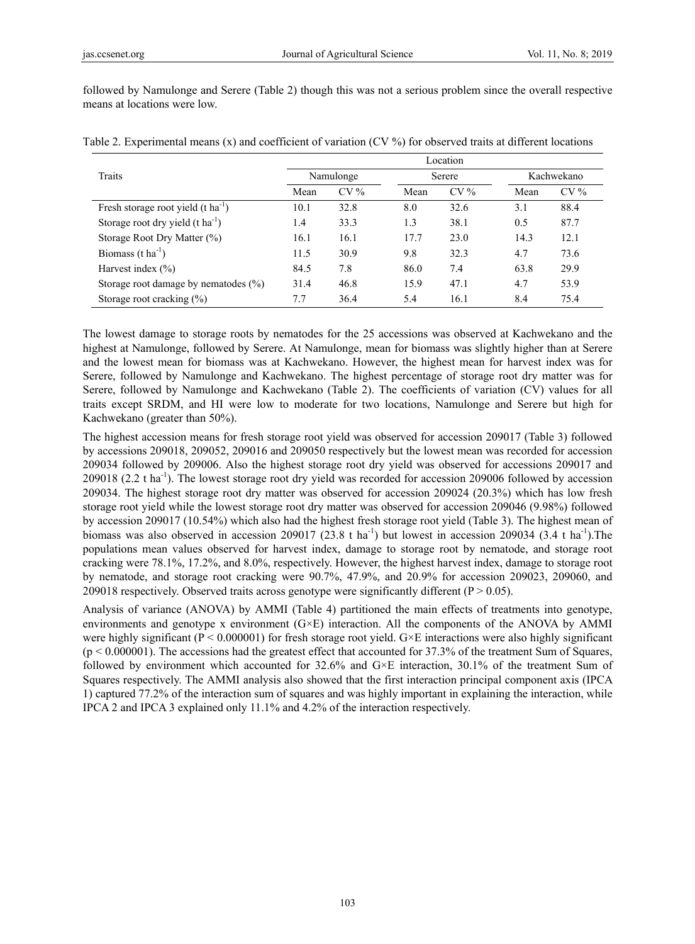followed by Namulonge and Serere (Table 2) though this was not a serious problem since the overall respective means at locations were low.

|                                                | Location  |        |      |        |      |            |  |  |
|------------------------------------------------|-----------|--------|------|--------|------|------------|--|--|
| Traits                                         | Namulonge |        |      | Serere |      | Kachwekano |  |  |
|                                                | Mean      | $CV\%$ | Mean | $CV\%$ | Mean | $CV\%$     |  |  |
| Fresh storage root yield $(t \text{ ha}^{-1})$ | 10.1      | 32.8   | 8.0  | 32.6   | 3.1  | 88.4       |  |  |
| Storage root dry yield $(t \text{ ha}^{-1})$   | 1.4       | 33.3   | 1.3  | 38.1   | 0.5  | 87.7       |  |  |
| Storage Root Dry Matter $(\%)$                 | 16.1      | 16.1   | 17.7 | 23.0   | 14.3 | 12.1       |  |  |
| Biomass $(t \text{ ha}^{-1})$                  | 11.5      | 30.9   | 9.8  | 32.3   | 4.7  | 73.6       |  |  |
| Harvest index $(\% )$                          | 84.5      | 7.8    | 86.0 | 7.4    | 63.8 | 29.9       |  |  |
| Storage root damage by nematodes $(\% )$       | 31.4      | 46.8   | 15.9 | 47.1   | 4.7  | 53.9       |  |  |
| Storage root cracking $(\%)$                   | 7.7       | 36.4   | 5.4  | 16.1   | 8.4  | 75.4       |  |  |

Table 2. Experimental means (x) and coefficient of variation (CV %) for observed traits at different locations

The lowest damage to storage roots by nematodes for the 25 accessions was observed at Kachwekano and the highest at Namulonge, followed by Serere. At Namulonge, mean for biomass was slightly higher than at Serere and the lowest mean for biomass was at Kachwekano. However, the highest mean for harvest index was for Serere, followed by Namulonge and Kachwekano. The highest percentage of storage root dry matter was for Serere, followed by Namulonge and Kachwekano (Table 2). The coefficients of variation (CV) values for all traits except SRDM, and HI were low to moderate for two locations, Namulonge and Serere but high for Kachwekano (greater than 50%).

The highest accession means for fresh storage root yield was observed for accession 209017 (Table 3) followed by accessions 209018, 209052, 209016 and 209050 respectively but the lowest mean was recorded for accession 209034 followed by 209006. Also the highest storage root dry yield was observed for accessions 209017 and 209018 (2.2 t ha<sup>-1</sup>). The lowest storage root dry yield was recorded for accession 209006 followed by accession 209034. The highest storage root dry matter was observed for accession 209024 (20.3%) which has low fresh storage root yield while the lowest storage root dry matter was observed for accession 209046 (9.98%) followed by accession 209017 (10.54%) which also had the highest fresh storage root yield (Table 3). The highest mean of biomass was also observed in accession 209017 (23.8 t ha<sup>-1</sup>) but lowest in accession 209034 (3.4 t ha<sup>-1</sup>). The populations mean values observed for harvest index, damage to storage root by nematode, and storage root cracking were 78.1%, 17.2%, and 8.0%, respectively. However, the highest harvest index, damage to storage root by nematode, and storage root cracking were 90.7%, 47.9%, and 20.9% for accession 209023, 209060, and 209018 respectively. Observed traits across genotype were significantly different ( $P > 0.05$ ).

Analysis of variance (ANOVA) by AMMI (Table 4) partitioned the main effects of treatments into genotype, environments and genotype x environment (G×E) interaction. All the components of the ANOVA by AMMI were highly significant ( $P \le 0.000001$ ) for fresh storage root yield. G×E interactions were also highly significant (p < 0.000001). The accessions had the greatest effect that accounted for 37.3% of the treatment Sum of Squares, followed by environment which accounted for 32.6% and G×E interaction, 30.1% of the treatment Sum of Squares respectively. The AMMI analysis also showed that the first interaction principal component axis (IPCA 1) captured 77.2% of the interaction sum of squares and was highly important in explaining the interaction, while IPCA 2 and IPCA 3 explained only 11.1% and 4.2% of the interaction respectively.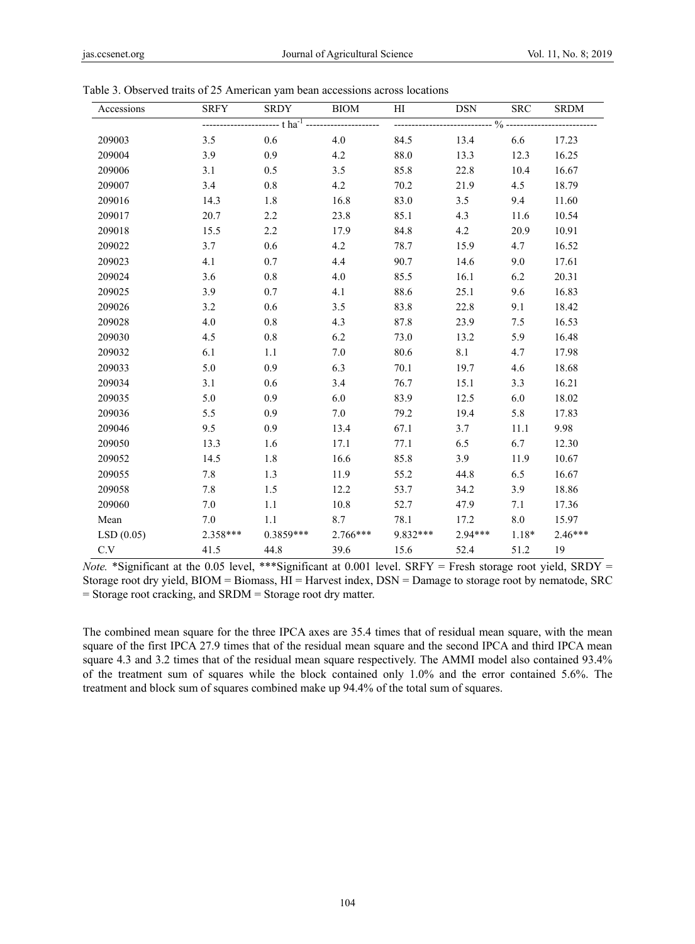| Accessions | <b>SRFY</b> | <b>SRDY</b>                                                       | BIOM       | HI   | DSN                | <b>SRC</b> | <b>SRDM</b> |
|------------|-------------|-------------------------------------------------------------------|------------|------|--------------------|------------|-------------|
|            |             | ----------------------- t ha <sup>-1</sup> ---------------------- |            |      |                    |            |             |
| 209003     | 3.5         | 0.6                                                               | 4.0        | 84.5 | 13.4               | 6.6        | 17.23       |
| 209004     | 3.9         | 0.9                                                               | 4.2        | 88.0 | 13.3               | 12.3       | 16.25       |
| 209006     | 3.1         | 0.5                                                               | 3.5        | 85.8 | 22.8               | 10.4       | 16.67       |
| 209007     | 3.4         | 0.8                                                               | 4.2        | 70.2 | 21.9               | 4.5        | 18.79       |
| 209016     | 14.3        | 1.8                                                               | 16.8       | 83.0 | 3.5                | 9.4        | 11.60       |
| 209017     | 20.7        | 2.2                                                               | 23.8       | 85.1 | 4.3                | 11.6       | 10.54       |
| 209018     | 15.5        | 2.2                                                               | 17.9       | 84.8 | 4.2                | 20.9       | 10.91       |
| 209022     | 3.7         | 0.6                                                               | 4.2        | 78.7 | 15.9               | 4.7        | 16.52       |
| 209023     | 4.1         | 0.7                                                               | 4.4        | 90.7 | 14.6               | 9.0        | 17.61       |
| 209024     | 3.6         | 0.8                                                               | 4.0        | 85.5 | 16.1               | 6.2        | 20.31       |
| 209025     | 3.9         | 0.7                                                               | 4.1        | 88.6 | 25.1               | 9.6        | 16.83       |
| 209026     | 3.2         | 0.6                                                               | 3.5        | 83.8 | 22.8               | 9.1        | 18.42       |
| 209028     | 4.0         | 0.8                                                               | 4.3        | 87.8 | 23.9               | 7.5        | 16.53       |
| 209030     | 4.5         | 0.8                                                               | 6.2        | 73.0 | 13.2               | 5.9        | 16.48       |
| 209032     | 6.1         | 1.1                                                               | 7.0        | 80.6 | 8.1                | 4.7        | 17.98       |
| 209033     | 5.0         | 0.9                                                               | 6.3        | 70.1 | 19.7               | 4.6        | 18.68       |
| 209034     | 3.1         | 0.6                                                               | 3.4        | 76.7 | 15.1               | 3.3        | 16.21       |
| 209035     | 5.0         | 0.9                                                               | 6.0        | 83.9 | 12.5               | 6.0        | 18.02       |
| 209036     | 5.5         | 0.9                                                               | 7.0        | 79.2 | 19.4               | 5.8        | 17.83       |
| 209046     | 9.5         | 0.9                                                               | 13.4       | 67.1 | 3.7                | 11.1       | 9.98        |
| 209050     | 13.3        | 1.6                                                               | 17.1       | 77.1 | 6.5                | 6.7        | 12.30       |
| 209052     | 14.5        | 1.8                                                               | 16.6       | 85.8 | 3.9                | 11.9       | 10.67       |
| 209055     | 7.8         | 1.3                                                               | 11.9       | 55.2 | 44.8               | 6.5        | 16.67       |
| 209058     | 7.8         | 1.5                                                               | 12.2       | 53.7 | 34.2               | 3.9        | 18.86       |
| 209060     | 7.0         | 1.1                                                               | 10.8       | 52.7 | 47.9               | 7.1        | 17.36       |
| Mean       | 7.0         | 1.1                                                               | 8.7        | 78.1 | 17.2               | 8.0        | 15.97       |
| LSD(0.05)  | 2.358***    | $0.3859***$                                                       | $2.766***$ |      | $9.832***$ 2.94*** | $1.18*$    | $2.46***$   |
| C.V        | 41.5        | 44.8                                                              | 39.6       | 15.6 | 52.4               | 51.2       | 19          |

|  |  |  | Table 3. Observed traits of 25 American yam bean accessions across locations |  |
|--|--|--|------------------------------------------------------------------------------|--|
|  |  |  |                                                                              |  |
|  |  |  |                                                                              |  |

*Note.* \*Significant at the 0.05 level, \*\*\*Significant at 0.001 level. SRFY = Fresh storage root yield, SRDY = Storage root dry yield, BIOM = Biomass, HI = Harvest index, DSN = Damage to storage root by nematode, SRC = Storage root cracking, and SRDM = Storage root dry matter.

The combined mean square for the three IPCA axes are 35.4 times that of residual mean square, with the mean square of the first IPCA 27.9 times that of the residual mean square and the second IPCA and third IPCA mean square 4.3 and 3.2 times that of the residual mean square respectively. The AMMI model also contained 93.4% of the treatment sum of squares while the block contained only 1.0% and the error contained 5.6%. The treatment and block sum of squares combined make up 94.4% of the total sum of squares.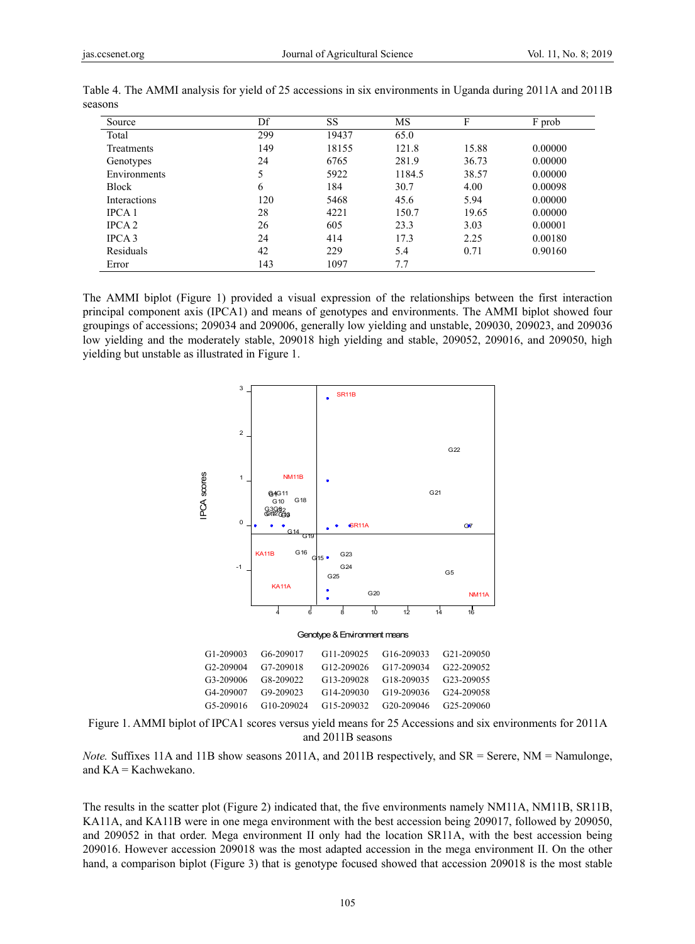| Source        | Df  | <b>SS</b> | MS     | F     | F prob  |
|---------------|-----|-----------|--------|-------|---------|
| Total         | 299 | 19437     | 65.0   |       |         |
| Treatments    | 149 | 18155     | 121.8  | 15.88 | 0.00000 |
| Genotypes     | 24  | 6765      | 281.9  | 36.73 | 0.00000 |
| Environments  | 5   | 5922      | 1184.5 | 38.57 | 0.00000 |
| <b>Block</b>  | 6   | 184       | 30.7   | 4.00  | 0.00098 |
| Interactions  | 120 | 5468      | 45.6   | 5.94  | 0.00000 |
| IPCA 1        | 28  | 4221      | 150.7  | 19.65 | 0.00000 |
| <b>IPCA 2</b> | 26  | 605       | 23.3   | 3.03  | 0.00001 |
| IPCA 3        | 24  | 414       | 17.3   | 2.25  | 0.00180 |
| Residuals     | 42  | 229       | 5.4    | 0.71  | 0.90160 |
| Error         | 143 | 1097      | 7.7    |       |         |

Table 4. The AMMI analysis for yield of 25 accessions in six environments in Uganda during 2011A and 2011B seasons

The AMMI biplot (Figure 1) provided a visual expression of the relationships between the first interaction principal component axis (IPCA1) and means of genotypes and environments. The AMMI biplot showed four groupings of accessions; 209034 and 209006, generally low yielding and unstable, 209030, 209023, and 209036 low yielding and the moderately stable, 209018 high yielding and stable, 209052, 209016, and 209050, high yielding but unstable as illustrated in Figure 1.



Figure 1. AMMI biplot of IPCA1 scores versus yield means for 25 Accessions and six environments for 2011A and 2011B seasons

*Note.* Suffixes 11A and 11B show seasons 2011A, and 2011B respectively, and SR = Serere, NM = Namulonge, and KA = Kachwekano.

The results in the scatter plot (Figure 2) indicated that, the five environments namely NM11A, NM11B, SR11B, KA11A, and KA11B were in one mega environment with the best accession being 209017, followed by 209050, and 209052 in that order. Mega environment II only had the location SR11A, with the best accession being 209016. However accession 209018 was the most adapted accession in the mega environment II. On the other hand, a comparison biplot (Figure 3) that is genotype focused showed that accession 209018 is the most stable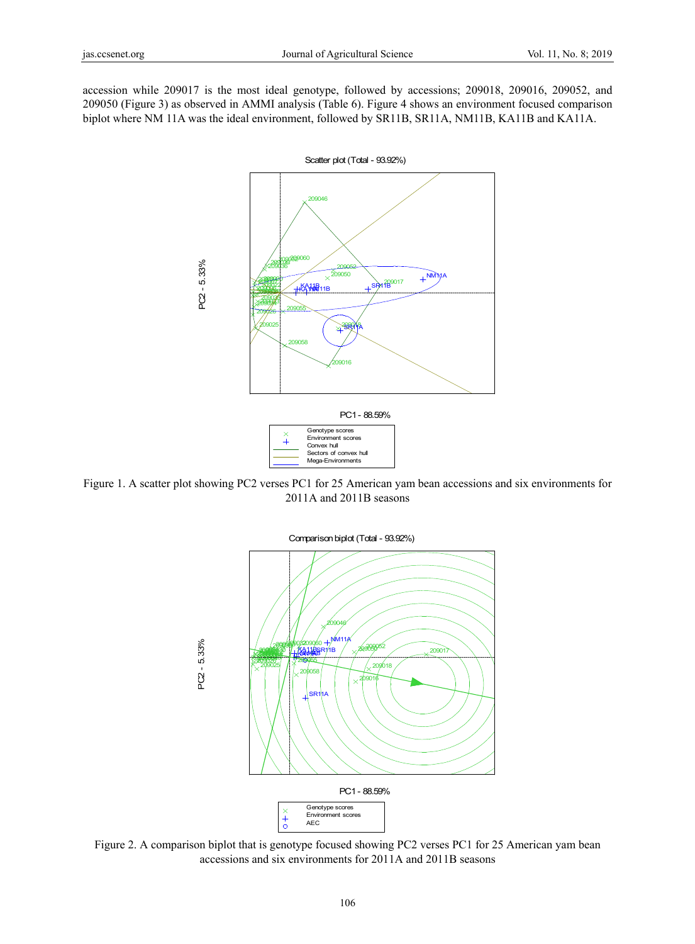accession while 209017 is the most ideal genotype, followed by accessions; 209018, 209016, 209052, and 209050 (Figure 3) as observed in AMMI analysis (Table 6). Figure 4 shows an environment focused comparison biplot where NM 11A was the ideal environment, followed by SR11B, SR11A, NM11B, KA11B and KA11A.



Figure 1. A scatter plot showing PC2 verses PC1 for 25 American yam bean accessions and six environments for 2011A and 2011B seasons



Figure 2. A comparison biplot that is genotype focused showing PC2 verses PC1 for 25 American yam bean accessions and six environments for 2011A and 2011B seasons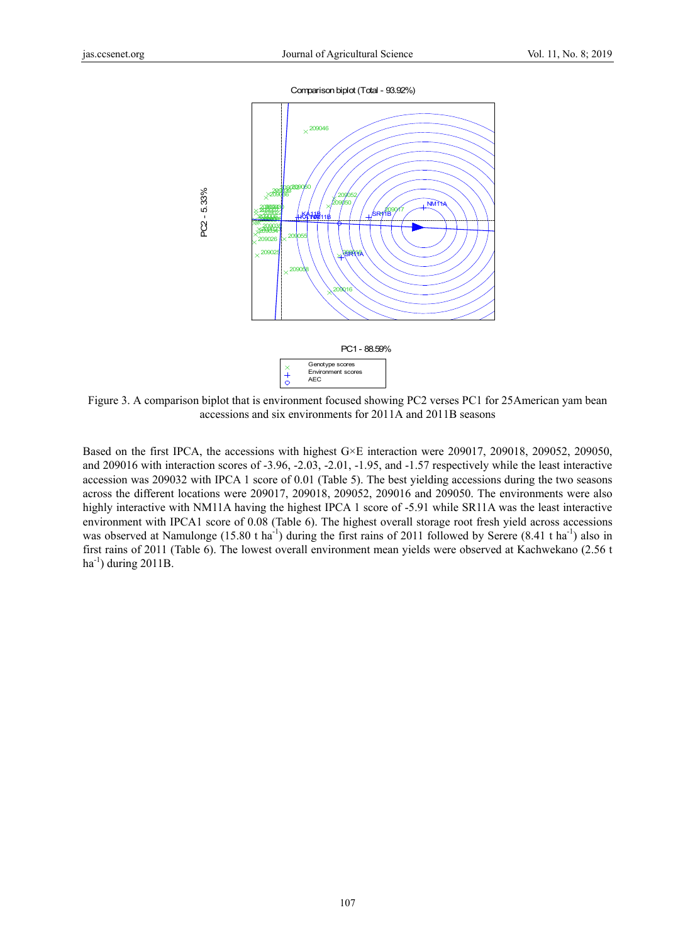

Figure 3. A comparison biplot that is environment focused showing PC2 verses PC1 for 25American yam bean accessions and six environments for 2011A and 2011B seasons

Based on the first IPCA, the accessions with highest G×E interaction were 209017, 209018, 209052, 209050, and 209016 with interaction scores of -3.96, -2.03, -2.01, -1.95, and -1.57 respectively while the least interactive accession was 209032 with IPCA 1 score of 0.01 (Table 5). The best yielding accessions during the two seasons across the different locations were 209017, 209018, 209052, 209016 and 209050. The environments were also highly interactive with NM11A having the highest IPCA 1 score of -5.91 while SR11A was the least interactive environment with IPCA1 score of 0.08 (Table 6). The highest overall storage root fresh yield across accessions was observed at Namulonge (15.80 t ha<sup>-1</sup>) during the first rains of 2011 followed by Serere (8.41 t ha<sup>-1</sup>) also in first rains of 2011 (Table 6). The lowest overall environment mean yields were observed at Kachwekano (2.56 t ha<sup>-1</sup>) during 2011B.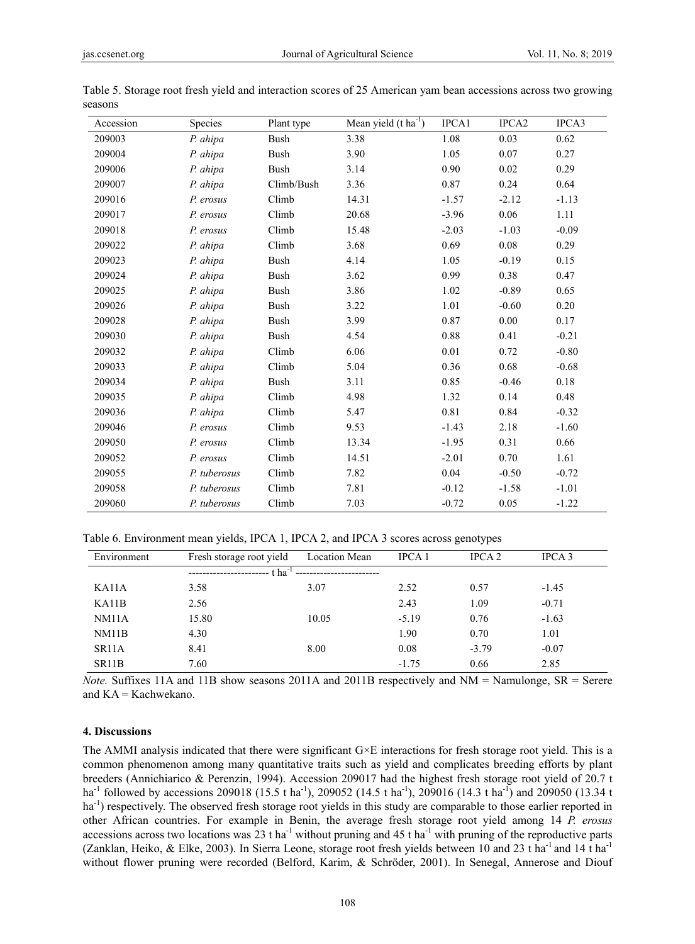| Accession | Species      | Plant type  | Mean yield $(t \text{ ha}^{-1})$ | IPCA1   | IPCA <sub>2</sub> | IPCA3   |
|-----------|--------------|-------------|----------------------------------|---------|-------------------|---------|
| 209003    | P. ahipa     | <b>Bush</b> | 3.38                             | 1.08    | 0.03              | 0.62    |
| 209004    | P. ahipa     | <b>Bush</b> | 3.90                             | 1.05    | 0.07              | 0.27    |
| 209006    | P. ahipa     | <b>Bush</b> | 3.14                             | 0.90    | 0.02              | 0.29    |
| 209007    | P. ahipa     | Climb/Bush  | 3.36                             | 0.87    | 0.24              | 0.64    |
| 209016    | P. erosus    | Climb       | 14.31                            | $-1.57$ | $-2.12$           | $-1.13$ |
| 209017    | P. erosus    | Climb       | 20.68                            | $-3.96$ | 0.06              | 1.11    |
| 209018    | P. erosus    | Climb       | 15.48                            | $-2.03$ | $-1.03$           | $-0.09$ |
| 209022    | P. ahipa     | Climb       | 3.68                             | 0.69    | 0.08              | 0.29    |
| 209023    | P. ahipa     | <b>Bush</b> | 4.14                             | 1.05    | $-0.19$           | 0.15    |
| 209024    | P. ahipa     | <b>Bush</b> | 3.62                             | 0.99    | 0.38              | 0.47    |
| 209025    | P. ahipa     | <b>Bush</b> | 3.86                             | 1.02    | $-0.89$           | 0.65    |
| 209026    | P. ahipa     | <b>Bush</b> | 3.22                             | 1.01    | $-0.60$           | 0.20    |
| 209028    | P. ahipa     | <b>Bush</b> | 3.99                             | 0.87    | 0.00              | 0.17    |
| 209030    | P. ahipa     | <b>Bush</b> | 4.54                             | 0.88    | 0.41              | $-0.21$ |
| 209032    | P. ahipa     | Climb       | 6.06                             | 0.01    | 0.72              | $-0.80$ |
| 209033    | P. ahipa     | Climb       | 5.04                             | 0.36    | 0.68              | $-0.68$ |
| 209034    | P. ahipa     | <b>Bush</b> | 3.11                             | 0.85    | $-0.46$           | 0.18    |
| 209035    | P. ahipa     | Climb       | 4.98                             | 1.32    | 0.14              | 0.48    |
| 209036    | P. ahipa     | Climb       | 5.47                             | 0.81    | 0.84              | $-0.32$ |
| 209046    | P. erosus    | Climb       | 9.53                             | $-1.43$ | 2.18              | $-1.60$ |
| 209050    | P. erosus    | Climb       | 13.34                            | $-1.95$ | 0.31              | 0.66    |
| 209052    | P. erosus    | Climb       | 14.51                            | $-2.01$ | 0.70              | 1.61    |
| 209055    | P. tuberosus | Climb       | 7.82                             | 0.04    | $-0.50$           | $-0.72$ |
| 209058    | P. tuberosus | Climb       | 7.81                             | $-0.12$ | $-1.58$           | $-1.01$ |
| 209060    | P. tuberosus | Climb       | 7.03                             | $-0.72$ | 0.05              | $-1.22$ |

| Table 5. Storage root fresh yield and interaction scores of 25 American yam bean accessions across two growing |  |  |  |
|----------------------------------------------------------------------------------------------------------------|--|--|--|
| seasons                                                                                                        |  |  |  |

Table 6. Environment mean yields, IPCA 1, IPCA 2, and IPCA 3 scores across genotypes

| Environment        | Fresh storage root yield | <b>Location Mean</b> | <b>IPCA1</b> | IPCA <sub>2</sub> | IPCA <sub>3</sub> |
|--------------------|--------------------------|----------------------|--------------|-------------------|-------------------|
|                    | t ha <sup>-1</sup>       |                      |              |                   |                   |
| KA11A              | 3.58                     | 3.07                 | 2.52         | 0.57              | $-1.45$           |
| KA11B              | 2.56                     |                      | 2.43         | 1.09              | $-0.71$           |
| NM11A              | 15.80                    | 10.05                | $-5.19$      | 0.76              | $-1.63$           |
| NM11B              | 4.30                     |                      | 1.90         | 0.70              | 1.01              |
| SR <sub>11</sub> A | 8.41                     | 8.00                 | 0.08         | $-3.79$           | $-0.07$           |
| SR <sub>11</sub> B | 7.60                     |                      | $-1.75$      | 0.66              | 2.85              |

*Note.* Suffixes 11A and 11B show seasons 2011A and 2011B respectively and NM = Namulonge, SR = Serere and KA = Kachwekano.

## **4. Discussions**

The AMMI analysis indicated that there were significant G×E interactions for fresh storage root yield. This is a common phenomenon among many quantitative traits such as yield and complicates breeding efforts by plant breeders (Annichiarico & Perenzin, 1994). Accession 209017 had the highest fresh storage root yield of 20.7 t ha<sup>-1</sup> followed by accessions 209018 (15.5 t ha<sup>-1</sup>), 209052 (14.5 t ha<sup>-1</sup>), 209016 (14.3 t ha<sup>-1</sup>) and 209050 (13.34 t ha<sup>-1</sup>) respectively. The observed fresh storage root yields in this study are comparable to those earlier reported in other African countries. For example in Benin, the average fresh storage root yield among 14 *P. erosus*  accessions across two locations was  $23$  t ha<sup>-1</sup> without pruning and  $45$  t ha<sup>-1</sup> with pruning of the reproductive parts (Zanklan, Heiko, & Elke, 2003). In Sierra Leone, storage root fresh yields between 10 and 23 t ha<sup>-1</sup> and 14 t ha<sup>-1</sup> without flower pruning were recorded (Belford, Karim, & Schröder, 2001). In Senegal, Annerose and Diouf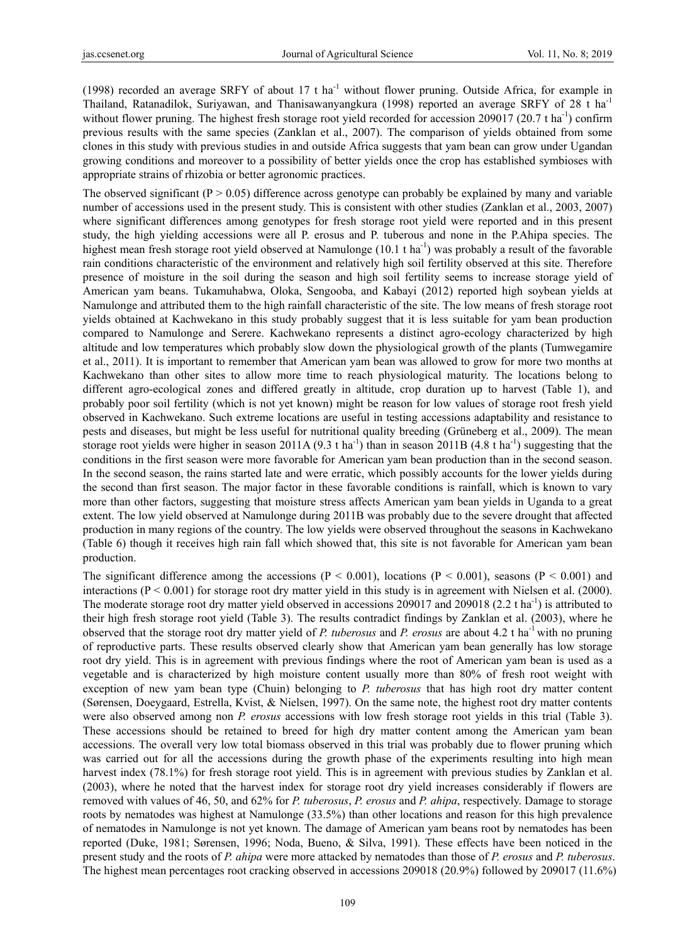(1998) recorded an average SRFY of about 17 t ha<sup>-1</sup> without flower pruning. Outside Africa, for example in Thailand, Ratanadilok, Suriyawan, and Thanisawanyangkura (1998) reported an average SRFY of 28 t ha-1 without flower pruning. The highest fresh storage root yield recorded for accession 209017 (20.7 t ha<sup>-1</sup>) confirm previous results with the same species (Zanklan et al., 2007). The comparison of yields obtained from some clones in this study with previous studies in and outside Africa suggests that yam bean can grow under Ugandan growing conditions and moreover to a possibility of better yields once the crop has established symbioses with appropriate strains of rhizobia or better agronomic practices.

The observed significant ( $P > 0.05$ ) difference across genotype can probably be explained by many and variable number of accessions used in the present study. This is consistent with other studies (Zanklan et al., 2003, 2007) where significant differences among genotypes for fresh storage root yield were reported and in this present study, the high yielding accessions were all P. erosus and P. tuberous and none in the P.Ahipa species. The highest mean fresh storage root yield observed at Namulonge  $(10.1 \text{ t} \text{ ha}^{-1})$  was probably a result of the favorable rain conditions characteristic of the environment and relatively high soil fertility observed at this site. Therefore presence of moisture in the soil during the season and high soil fertility seems to increase storage yield of American yam beans. Tukamuhabwa, Oloka, Sengooba, and Kabayi (2012) reported high soybean yields at Namulonge and attributed them to the high rainfall characteristic of the site. The low means of fresh storage root yields obtained at Kachwekano in this study probably suggest that it is less suitable for yam bean production compared to Namulonge and Serere. Kachwekano represents a distinct agro-ecology characterized by high altitude and low temperatures which probably slow down the physiological growth of the plants (Tumwegamire et al., 2011). It is important to remember that American yam bean was allowed to grow for more two months at Kachwekano than other sites to allow more time to reach physiological maturity. The locations belong to different agro-ecological zones and differed greatly in altitude, crop duration up to harvest (Table 1), and probably poor soil fertility (which is not yet known) might be reason for low values of storage root fresh yield observed in Kachwekano. Such extreme locations are useful in testing accessions adaptability and resistance to pests and diseases, but might be less useful for nutritional quality breeding (Grüneberg et al., 2009). The mean storage root yields were higher in season 2011A (9.3 t ha<sup>-1</sup>) than in season 2011B (4.8 t ha<sup>-1</sup>) suggesting that the conditions in the first season were more favorable for American yam bean production than in the second season. In the second season, the rains started late and were erratic, which possibly accounts for the lower yields during the second than first season. The major factor in these favorable conditions is rainfall, which is known to vary more than other factors, suggesting that moisture stress affects American yam bean yields in Uganda to a great extent. The low yield observed at Namulonge during 2011B was probably due to the severe drought that affected production in many regions of the country. The low yields were observed throughout the seasons in Kachwekano (Table 6) though it receives high rain fall which showed that, this site is not favorable for American yam bean production.

The significant difference among the accessions ( $P < 0.001$ ), locations ( $P < 0.001$ ), seasons ( $P < 0.001$ ) and interactions ( $P < 0.001$ ) for storage root dry matter yield in this study is in agreement with Nielsen et al. (2000). The moderate storage root dry matter yield observed in accessions 209017 and 209018 (2.2 t ha<sup>-1</sup>) is attributed to their high fresh storage root yield (Table 3). The results contradict findings by Zanklan et al. (2003), where he observed that the storage root dry matter yield of *P. tuberosus* and *P. erosus* are about 4.2 t ha<sup>-1</sup> with no pruning of reproductive parts. These results observed clearly show that American yam bean generally has low storage root dry yield. This is in agreement with previous findings where the root of American yam bean is used as a vegetable and is characterized by high moisture content usually more than 80% of fresh root weight with exception of new yam bean type (Chuin) belonging to *P. tuberosus* that has high root dry matter content (Sørensen, Doeygaard, Estrella, Kvist, & Nielsen, 1997). On the same note, the highest root dry matter contents were also observed among non *P. erosus* accessions with low fresh storage root yields in this trial (Table 3). These accessions should be retained to breed for high dry matter content among the American yam bean accessions. The overall very low total biomass observed in this trial was probably due to flower pruning which was carried out for all the accessions during the growth phase of the experiments resulting into high mean harvest index (78.1%) for fresh storage root yield. This is in agreement with previous studies by Zanklan et al. (2003), where he noted that the harvest index for storage root dry yield increases considerably if flowers are removed with values of 46, 50, and 62% for *P. tuberosus*, *P. erosus* and *P. ahipa*, respectively. Damage to storage roots by nematodes was highest at Namulonge (33.5%) than other locations and reason for this high prevalence of nematodes in Namulonge is not yet known. The damage of American yam beans root by nematodes has been reported (Duke, 1981; Sørensen, 1996; Noda, Bueno, & Silva, 1991). These effects have been noticed in the present study and the roots of *P. ahipa* were more attacked by nematodes than those of *P. erosus* and *P. tuberosus*. The highest mean percentages root cracking observed in accessions 209018 (20.9%) followed by 209017 (11.6%)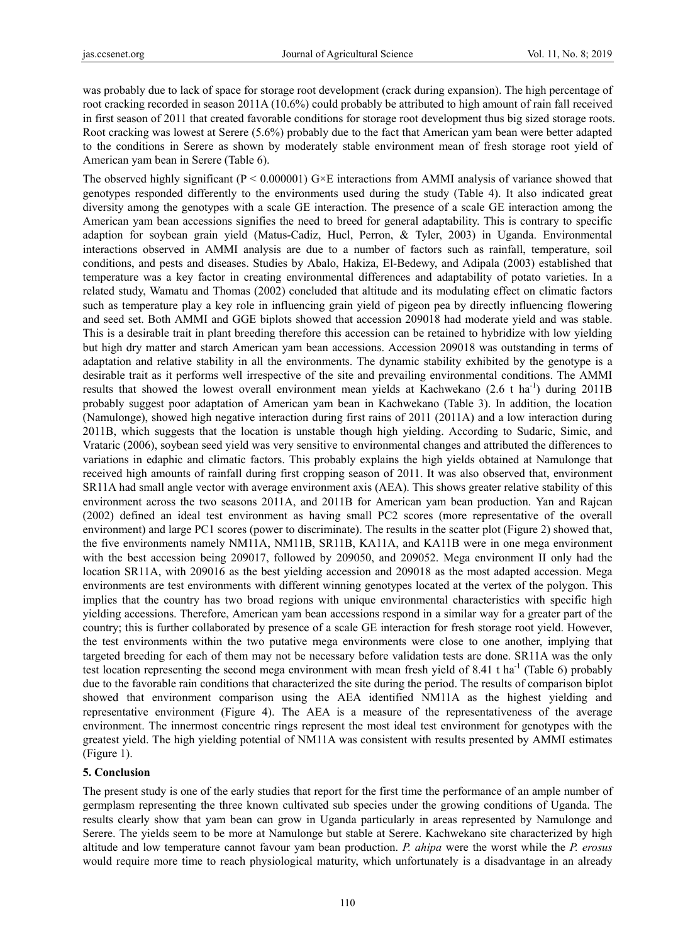was probably due to lack of space for storage root development (crack during expansion). The high percentage of root cracking recorded in season 2011A (10.6%) could probably be attributed to high amount of rain fall received in first season of 2011 that created favorable conditions for storage root development thus big sized storage roots. Root cracking was lowest at Serere (5.6%) probably due to the fact that American yam bean were better adapted to the conditions in Serere as shown by moderately stable environment mean of fresh storage root yield of American yam bean in Serere (Table 6).

The observed highly significant ( $P \le 0.000001$ ) G $\times$ E interactions from AMMI analysis of variance showed that genotypes responded differently to the environments used during the study (Table 4). It also indicated great diversity among the genotypes with a scale GE interaction. The presence of a scale GE interaction among the American yam bean accessions signifies the need to breed for general adaptability. This is contrary to specific adaption for soybean grain yield (Matus-Cadiz, Hucl, Perron, & Tyler, 2003) in Uganda. Environmental interactions observed in AMMI analysis are due to a number of factors such as rainfall, temperature, soil conditions, and pests and diseases. Studies by Abalo, Hakiza, El-Bedewy, and Adipala (2003) established that temperature was a key factor in creating environmental differences and adaptability of potato varieties. In a related study, Wamatu and Thomas (2002) concluded that altitude and its modulating effect on climatic factors such as temperature play a key role in influencing grain yield of pigeon pea by directly influencing flowering and seed set. Both AMMI and GGE biplots showed that accession 209018 had moderate yield and was stable. This is a desirable trait in plant breeding therefore this accession can be retained to hybridize with low yielding but high dry matter and starch American yam bean accessions. Accession 209018 was outstanding in terms of adaptation and relative stability in all the environments. The dynamic stability exhibited by the genotype is a desirable trait as it performs well irrespective of the site and prevailing environmental conditions. The AMMI results that showed the lowest overall environment mean yields at Kachwekano  $(2.6 \text{ t} \text{ ha}^{-1})$  during 2011B probably suggest poor adaptation of American yam bean in Kachwekano (Table 3). In addition, the location (Namulonge), showed high negative interaction during first rains of 2011 (2011A) and a low interaction during 2011B, which suggests that the location is unstable though high yielding. According to Sudaric, Simic, and Vrataric (2006), soybean seed yield was very sensitive to environmental changes and attributed the differences to variations in edaphic and climatic factors. This probably explains the high yields obtained at Namulonge that received high amounts of rainfall during first cropping season of 2011. It was also observed that, environment SR11A had small angle vector with average environment axis (AEA). This shows greater relative stability of this environment across the two seasons 2011A, and 2011B for American yam bean production. Yan and Rajcan (2002) defined an ideal test environment as having small PC2 scores (more representative of the overall environment) and large PC1 scores (power to discriminate). The results in the scatter plot (Figure 2) showed that, the five environments namely NM11A, NM11B, SR11B, KA11A, and KA11B were in one mega environment with the best accession being 209017, followed by 209050, and 209052. Mega environment II only had the location SR11A, with 209016 as the best yielding accession and 209018 as the most adapted accession. Mega environments are test environments with different winning genotypes located at the vertex of the polygon. This implies that the country has two broad regions with unique environmental characteristics with specific high yielding accessions. Therefore, American yam bean accessions respond in a similar way for a greater part of the country; this is further collaborated by presence of a scale GE interaction for fresh storage root yield. However, the test environments within the two putative mega environments were close to one another, implying that targeted breeding for each of them may not be necessary before validation tests are done. SR11A was the only test location representing the second mega environment with mean fresh yield of 8.41 t ha<sup>-1</sup> (Table 6) probably due to the favorable rain conditions that characterized the site during the period. The results of comparison biplot showed that environment comparison using the AEA identified NM11A as the highest yielding and representative environment (Figure 4). The AEA is a measure of the representativeness of the average environment. The innermost concentric rings represent the most ideal test environment for genotypes with the greatest yield. The high yielding potential of NM11A was consistent with results presented by AMMI estimates (Figure 1).

# **5. Conclusion**

The present study is one of the early studies that report for the first time the performance of an ample number of germplasm representing the three known cultivated sub species under the growing conditions of Uganda. The results clearly show that yam bean can grow in Uganda particularly in areas represented by Namulonge and Serere. The yields seem to be more at Namulonge but stable at Serere. Kachwekano site characterized by high altitude and low temperature cannot favour yam bean production. *P. ahipa* were the worst while the *P. erosus*  would require more time to reach physiological maturity, which unfortunately is a disadvantage in an already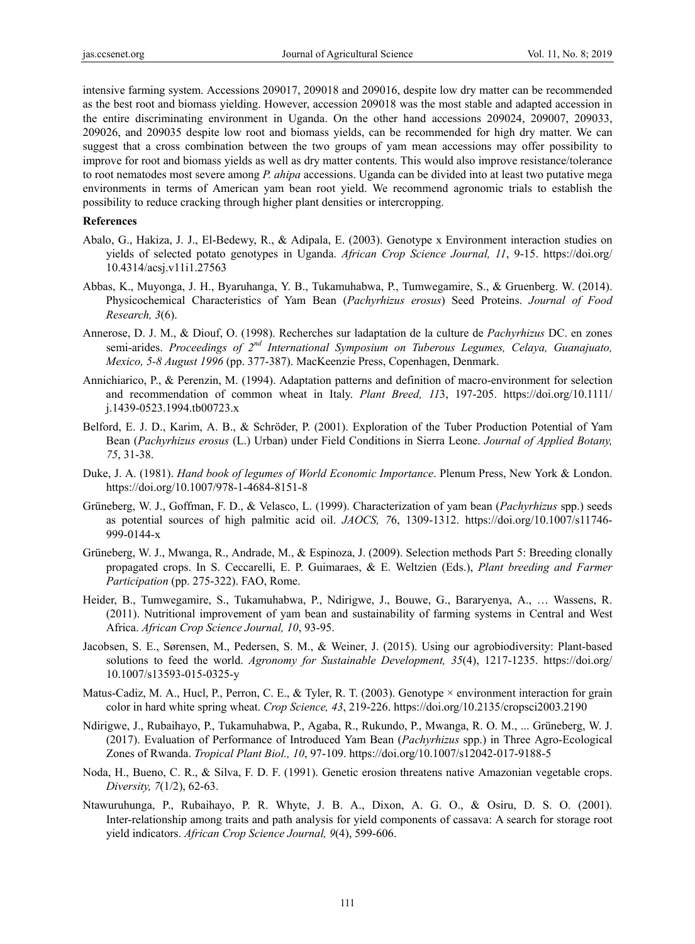intensive farming system. Accessions 209017, 209018 and 209016, despite low dry matter can be recommended as the best root and biomass yielding. However, accession 209018 was the most stable and adapted accession in the entire discriminating environment in Uganda. On the other hand accessions 209024, 209007, 209033, 209026, and 209035 despite low root and biomass yields, can be recommended for high dry matter. We can suggest that a cross combination between the two groups of yam mean accessions may offer possibility to improve for root and biomass yields as well as dry matter contents. This would also improve resistance/tolerance to root nematodes most severe among *P. ahipa* accessions. Uganda can be divided into at least two putative mega environments in terms of American yam bean root yield. We recommend agronomic trials to establish the possibility to reduce cracking through higher plant densities or intercropping.

## **References**

- Abalo, G., Hakiza, J. J., El-Bedewy, R., & Adipala, E. (2003). Genotype x Environment interaction studies on yields of selected potato genotypes in Uganda. *African Crop Science Journal, 11*, 9-15. https://doi.org/ 10.4314/acsj.v11i1.27563
- Abbas, K., Muyonga, J. H., Byaruhanga, Y. B., Tukamuhabwa, P., Tumwegamire, S., & Gruenberg. W. (2014). Physicochemical Characteristics of Yam Bean (*Pachyrhizus erosus*) Seed Proteins. *Journal of Food Research, 3*(6).
- Annerose, D. J. M., & Diouf, O. (1998). Recherches sur ladaptation de la culture de *Pachyrhizus* DC. en zones semi-arides. *Proceedings of 2nd International Symposium on Tuberous Legumes, Celaya, Guanajuato, Mexico, 5-8 August 1996* (pp. 377-387). MacKeenzie Press, Copenhagen, Denmark.
- Annichiarico, P., & Perenzin, M. (1994). Adaptation patterns and definition of macro-environment for selection and recommendation of common wheat in Italy. *Plant Breed, 11*3, 197-205. https://doi.org/10.1111/ j.1439-0523.1994.tb00723.x
- Belford, E. J. D., Karim, A. B., & Schröder, P. (2001). Exploration of the Tuber Production Potential of Yam Bean (*Pachyrhizus erosus* (L.) Urban) under Field Conditions in Sierra Leone. *Journal of Applied Botany, 75*, 31-38.
- Duke, J. A. (1981). *Hand book of legumes of World Economic Importance*. Plenum Press, New York & London. https://doi.org/10.1007/978-1-4684-8151-8
- Grüneberg, W. J., Goffman, F. D., & Velasco, L. (1999). Characterization of yam bean (*Pachyrhizus* spp.) seeds as potential sources of high palmitic acid oil. *JAOCS, 7*6, 1309-1312. https://doi.org/10.1007/s11746- 999-0144-x
- Grüneberg, W. J., Mwanga, R., Andrade, M., & Espinoza, J. (2009). Selection methods Part 5: Breeding clonally propagated crops. In S. Ceccarelli, E. P. Guimaraes, & E. Weltzien (Eds.), *Plant breeding and Farmer Participation* (pp. 275-322). FAO, Rome.
- Heider, B., Tumwegamire, S., Tukamuhabwa, P., Ndirigwe, J., Bouwe, G., Bararyenya, A., … Wassens, R. (2011). Nutritional improvement of yam bean and sustainability of farming systems in Central and West Africa. *African Crop Science Journal, 10*, 93-95.
- Jacobsen, S. E., Sørensen, M., Pedersen, S. M., & Weiner, J. (2015). Using our agrobiodiversity: Plant-based solutions to feed the world. *Agronomy for Sustainable Development, 35*(4), 1217-1235. https://doi.org/ 10.1007/s13593-015-0325-y
- Matus-Cadiz, M. A., Hucl, P., Perron, C. E., & Tyler, R. T. (2003). Genotype  $\times$  environment interaction for grain color in hard white spring wheat. *Crop Science, 43*, 219-226. https://doi.org/10.2135/cropsci2003.2190
- Ndirigwe, J., Rubaihayo, P., Tukamuhabwa, P., Agaba, R., Rukundo, P., Mwanga, R. O. M., ... Grüneberg, W. J. (2017). Evaluation of Performance of Introduced Yam Bean (*Pachyrhizus* spp.) in Three Agro-Ecological Zones of Rwanda. *Tropical Plant Biol., 10*, 97-109. https://doi.org/10.1007/s12042-017-9188-5
- Noda, H., Bueno, C. R., & Silva, F. D. F. (1991). Genetic erosion threatens native Amazonian vegetable crops. *Diversity, 7*(1/2), 62-63.
- Ntawuruhunga, P., Rubaihayo, P. R. Whyte, J. B. A., Dixon, A. G. O., & Osiru, D. S. O. (2001). Inter-relationship among traits and path analysis for yield components of cassava: A search for storage root yield indicators. *African Crop Science Journal, 9*(4), 599-606.